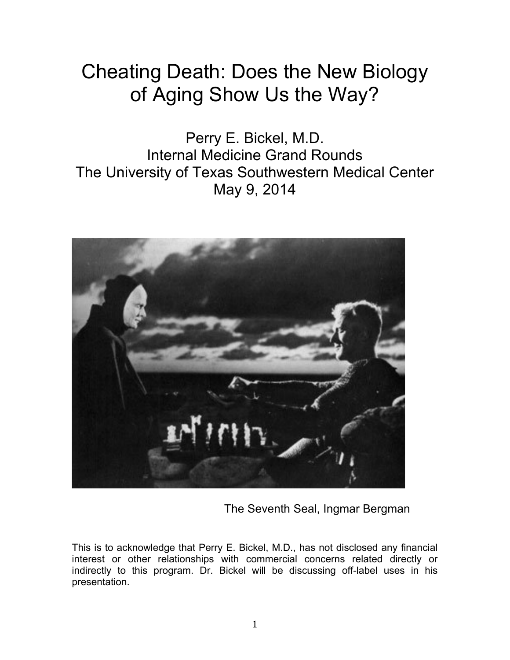# Cheating Death: Does the New Biology of Aging Show Us the Way?

Perry E. Bickel, M.D. Internal Medicine Grand Rounds The University of Texas Southwestern Medical Center May 9, 2014



The Seventh Seal, Ingmar Bergman

This is to acknowledge that Perry E. Bickel, M.D., has not disclosed any financial interest or other relationships with commercial concerns related directly or indirectly to this program. Dr. Bickel will be discussing off-label uses in his presentation.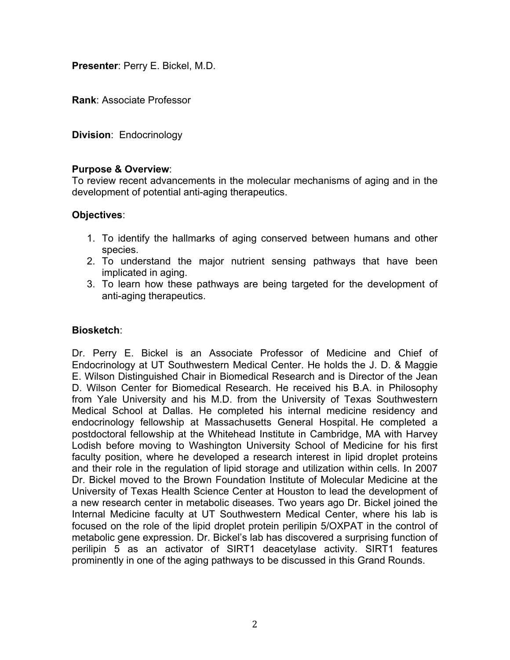**Presenter**: Perry E. Bickel, M.D.

**Rank**: Associate Professor

**Division**: Endocrinology

### **Purpose & Overview**:

To review recent advancements in the molecular mechanisms of aging and in the development of potential anti-aging therapeutics.

### **Objectives**:

- 1. To identify the hallmarks of aging conserved between humans and other species.
- 2. To understand the major nutrient sensing pathways that have been implicated in aging.
- 3. To learn how these pathways are being targeted for the development of anti-aging therapeutics.

## **Biosketch**:

Dr. Perry E. Bickel is an Associate Professor of Medicine and Chief of Endocrinology at UT Southwestern Medical Center. He holds the J. D. & Maggie E. Wilson Distinguished Chair in Biomedical Research and is Director of the Jean D. Wilson Center for Biomedical Research. He received his B.A. in Philosophy from Yale University and his M.D. from the University of Texas Southwestern Medical School at Dallas. He completed his internal medicine residency and endocrinology fellowship at Massachusetts General Hospital. He completed a postdoctoral fellowship at the Whitehead Institute in Cambridge, MA with Harvey Lodish before moving to Washington University School of Medicine for his first faculty position, where he developed a research interest in lipid droplet proteins and their role in the regulation of lipid storage and utilization within cells. In 2007 Dr. Bickel moved to the Brown Foundation Institute of Molecular Medicine at the University of Texas Health Science Center at Houston to lead the development of a new research center in metabolic diseases. Two years ago Dr. Bickel joined the Internal Medicine faculty at UT Southwestern Medical Center, where his lab is focused on the role of the lipid droplet protein perilipin 5/OXPAT in the control of metabolic gene expression. Dr. Bickel's lab has discovered a surprising function of perilipin 5 as an activator of SIRT1 deacetylase activity. SIRT1 features prominently in one of the aging pathways to be discussed in this Grand Rounds.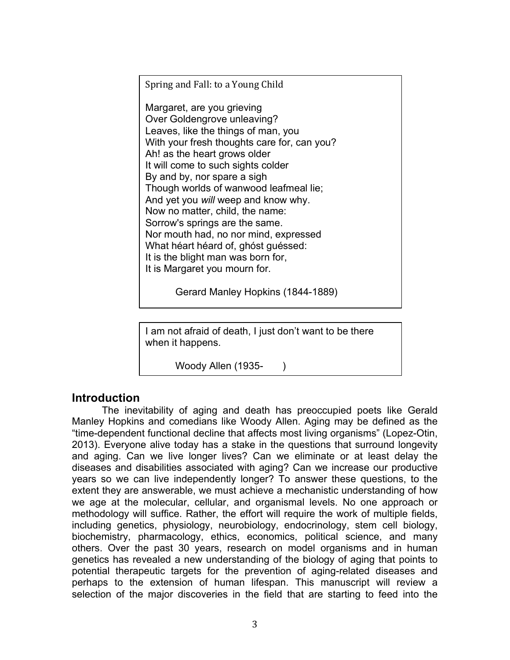Spring and Fall: to a Young Child

Margaret, are you grieving Over Goldengrove unleaving? Leaves, like the things of man, you With your fresh thoughts care for, can you? Ah! as the heart grows older It will come to such sights colder By and by, nor spare a sigh Though worlds of wanwood leafmeal lie; And yet you *will* weep and know why. Now no matter, child, the name: Sorrow's springs are the same. Nor mouth had, no nor mind, expressed What héart héard of, ghóst guéssed: It is the blight man was born for, It is Margaret you mourn for.

Gerard Manley Hopkins (1844-1889)

I am not afraid of death, I just don't want to be there when it happens.

Woody Allen (1935-)

# **Introduction**

The inevitability of aging and death has preoccupied poets like Gerald Manley Hopkins and comedians like Woody Allen. Aging may be defined as the "time-dependent functional decline that affects most living organisms" (Lopez-Otin, 2013). Everyone alive today has a stake in the questions that surround longevity and aging. Can we live longer lives? Can we eliminate or at least delay the diseases and disabilities associated with aging? Can we increase our productive years so we can live independently longer? To answer these questions, to the extent they are answerable, we must achieve a mechanistic understanding of how we age at the molecular, cellular, and organismal levels. No one approach or methodology will suffice. Rather, the effort will require the work of multiple fields, including genetics, physiology, neurobiology, endocrinology, stem cell biology, biochemistry, pharmacology, ethics, economics, political science, and many others. Over the past 30 years, research on model organisms and in human genetics has revealed a new understanding of the biology of aging that points to potential therapeutic targets for the prevention of aging-related diseases and perhaps to the extension of human lifespan. This manuscript will review a selection of the major discoveries in the field that are starting to feed into the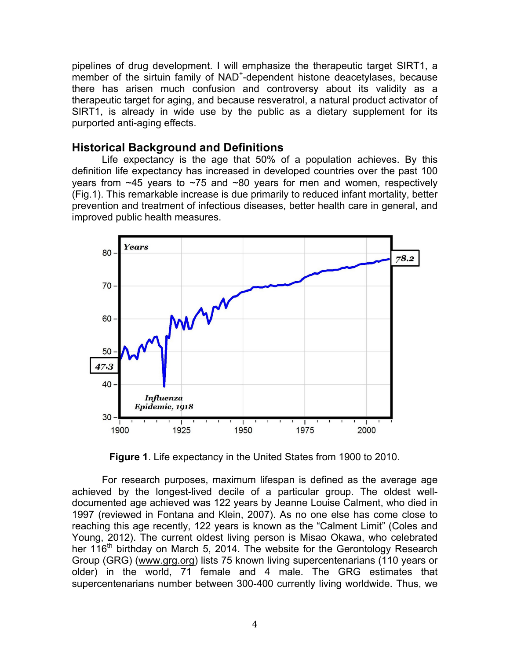pipelines of drug development. I will emphasize the therapeutic target SIRT1, a member of the sirtuin family of NAD<sup>+</sup>-dependent histone deacetylases, because there has arisen much confusion and controversy about its validity as a therapeutic target for aging, and because resveratrol, a natural product activator of SIRT1, is already in wide use by the public as a dietary supplement for its purported anti-aging effects.

## **Historical Background and Definitions**

Life expectancy is the age that 50% of a population achieves. By this definition life expectancy has increased in developed countries over the past 100 years from ~45 years to ~75 and ~80 years for men and women, respectively (Fig.1). This remarkable increase is due primarily to reduced infant mortality, better prevention and treatment of infectious diseases, better health care in general, and improved public health measures.



 **Figure 1**. Life expectancy in the United States from 1900 to 2010. 

For research purposes, maximum lifespan is defined as the average age achieved by the longest-lived decile of a particular group. The oldest welldocumented age achieved was 122 years by Jeanne Louise Calment, who died in 1997 (reviewed in Fontana and Klein, 2007). As no one else has come close to reaching this age recently, 122 years is known as the "Calment Limit" (Coles and Young, 2012). The current oldest living person is Misao Okawa, who celebrated her 116<sup>th</sup> birthday on March 5, 2014. The website for the Gerontology Research Group (GRG) (www.grg.org) lists 75 known living supercentenarians (110 years or older) in the world, 71 female and 4 male. The GRG estimates that supercentenarians number between 300-400 currently living worldwide. Thus, we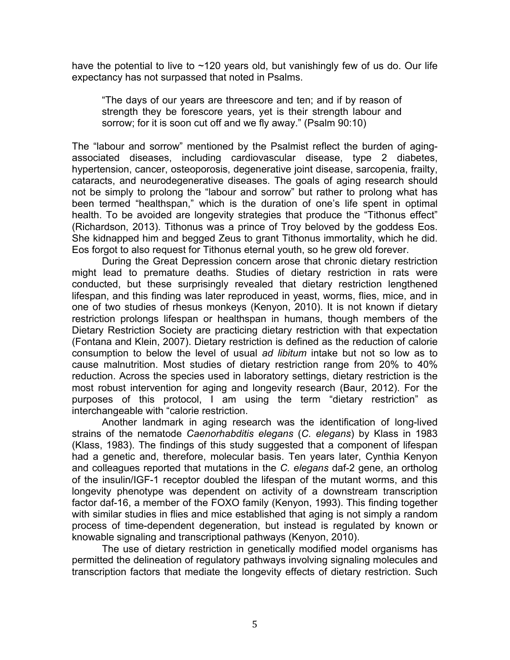have the potential to live to  $\sim$ 120 years old, but vanishingly few of us do. Our life expectancy has not surpassed that noted in Psalms.

"The days of our years are threescore and ten; and if by reason of strength they be forescore years, yet is their strength labour and sorrow; for it is soon cut off and we fly away." (Psalm 90:10)

The "labour and sorrow" mentioned by the Psalmist reflect the burden of agingassociated diseases, including cardiovascular disease, type 2 diabetes, hypertension, cancer, osteoporosis, degenerative joint disease, sarcopenia, frailty, cataracts, and neurodegenerative diseases. The goals of aging research should not be simply to prolong the "labour and sorrow" but rather to prolong what has been termed "healthspan," which is the duration of one's life spent in optimal health. To be avoided are longevity strategies that produce the "Tithonus effect" (Richardson, 2013). Tithonus was a prince of Troy beloved by the goddess Eos. She kidnapped him and begged Zeus to grant Tithonus immortality, which he did. Eos forgot to also request for Tithonus eternal youth, so he grew old forever.

During the Great Depression concern arose that chronic dietary restriction might lead to premature deaths. Studies of dietary restriction in rats were conducted, but these surprisingly revealed that dietary restriction lengthened lifespan, and this finding was later reproduced in yeast, worms, flies, mice, and in one of two studies of rhesus monkeys (Kenyon, 2010). It is not known if dietary restriction prolongs lifespan or healthspan in humans, though members of the Dietary Restriction Society are practicing dietary restriction with that expectation (Fontana and Klein, 2007). Dietary restriction is defined as the reduction of calorie consumption to below the level of usual *ad libitum* intake but not so low as to cause malnutrition. Most studies of dietary restriction range from 20% to 40% reduction. Across the species used in laboratory settings, dietary restriction is the most robust intervention for aging and longevity research (Baur, 2012). For the purposes of this protocol, I am using the term "dietary restriction" as interchangeable with "calorie restriction.

Another landmark in aging research was the identification of long-lived strains of the nematode *Caenorhabditis elegans* (*C. elegans*) by Klass in 1983 (Klass, 1983). The findings of this study suggested that a component of lifespan had a genetic and, therefore, molecular basis. Ten years later, Cynthia Kenyon and colleagues reported that mutations in the *C. elegans* daf-2 gene, an ortholog of the insulin/IGF-1 receptor doubled the lifespan of the mutant worms, and this longevity phenotype was dependent on activity of a downstream transcription factor daf-16, a member of the FOXO family (Kenyon, 1993). This finding together with similar studies in flies and mice established that aging is not simply a random process of time-dependent degeneration, but instead is regulated by known or knowable signaling and transcriptional pathways (Kenyon, 2010).

The use of dietary restriction in genetically modified model organisms has permitted the delineation of regulatory pathways involving signaling molecules and transcription factors that mediate the longevity effects of dietary restriction. Such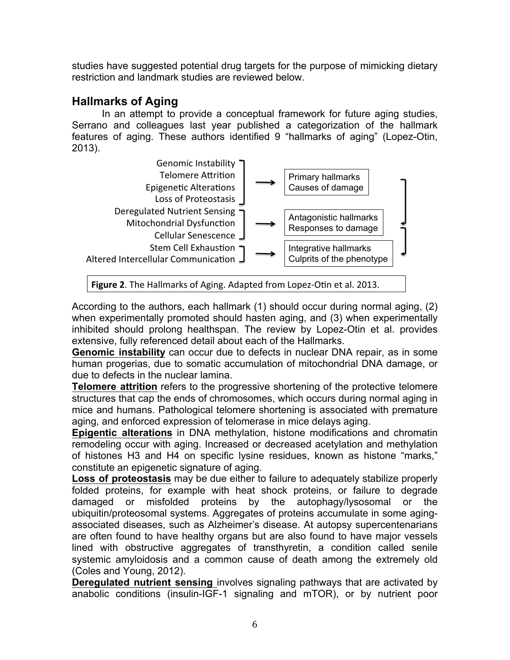studies have suggested potential drug targets for the purpose of mimicking dietary restriction and landmark studies are reviewed below.

# **Hallmarks of Aging**

In an attempt to provide a conceptual framework for future aging studies, Serrano and colleagues last year published a categorization of the hallmark features of aging. These authors identified 9 "hallmarks of aging" (Lopez-Otin, 2013).



Figure 2. The Hallmarks of Aging. Adapted from Lopez-Otin et al. 2013.

According to the authors, each hallmark (1) should occur during normal aging, (2) when experimentally promoted should hasten aging, and (3) when experimentally inhibited should prolong healthspan. The review by Lopez-Otin et al. provides extensive, fully referenced detail about each of the Hallmarks.

**Genomic instability** can occur due to defects in nuclear DNA repair, as in some human progerias, due to somatic accumulation of mitochondrial DNA damage, or due to defects in the nuclear lamina.

**Telomere attrition** refers to the progressive shortening of the protective telomere structures that cap the ends of chromosomes, which occurs during normal aging in mice and humans. Pathological telomere shortening is associated with premature aging, and enforced expression of telomerase in mice delays aging.

**Epigentic alterations** in DNA methylation, histone modifications and chromatin remodeling occur with aging. Increased or decreased acetylation and methylation of histones H3 and H4 on specific lysine residues, known as histone "marks," constitute an epigenetic signature of aging.

**Loss of proteostasis** may be due either to failure to adequately stabilize properly folded proteins, for example with heat shock proteins, or failure to degrade damaged or misfolded proteins by the autophagy/lysosomal or the ubiquitin/proteosomal systems. Aggregates of proteins accumulate in some agingassociated diseases, such as Alzheimer's disease. At autopsy supercentenarians are often found to have healthy organs but are also found to have major vessels lined with obstructive aggregates of transthyretin, a condition called senile systemic amyloidosis and a common cause of death among the extremely old (Coles and Young, 2012).

**Deregulated nutrient sensing** involves signaling pathways that are activated by anabolic conditions (insulin-IGF-1 signaling and mTOR), or by nutrient poor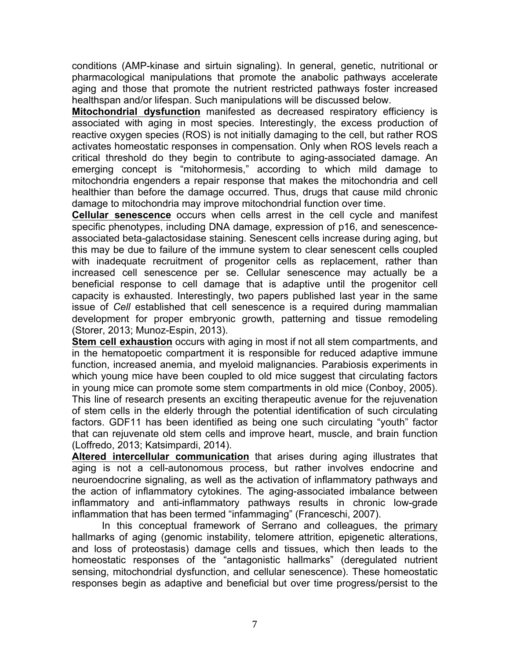conditions (AMP-kinase and sirtuin signaling). In general, genetic, nutritional or pharmacological manipulations that promote the anabolic pathways accelerate aging and those that promote the nutrient restricted pathways foster increased healthspan and/or lifespan. Such manipulations will be discussed below.

**Mitochondrial dysfunction** manifested as decreased respiratory efficiency is associated with aging in most species. Interestingly, the excess production of reactive oxygen species (ROS) is not initially damaging to the cell, but rather ROS activates homeostatic responses in compensation. Only when ROS levels reach a critical threshold do they begin to contribute to aging-associated damage. An emerging concept is "mitohormesis," according to which mild damage to mitochondria engenders a repair response that makes the mitochondria and cell healthier than before the damage occurred. Thus, drugs that cause mild chronic damage to mitochondria may improve mitochondrial function over time.

**Cellular senescence** occurs when cells arrest in the cell cycle and manifest specific phenotypes, including DNA damage, expression of p16, and senescenceassociated beta-galactosidase staining. Senescent cells increase during aging, but this may be due to failure of the immune system to clear senescent cells coupled with inadequate recruitment of progenitor cells as replacement, rather than increased cell senescence per se. Cellular senescence may actually be a beneficial response to cell damage that is adaptive until the progenitor cell capacity is exhausted. Interestingly, two papers published last year in the same issue of *Cell* established that cell senescence is a required during mammalian development for proper embryonic growth, patterning and tissue remodeling (Storer, 2013; Munoz-Espin, 2013).

**Stem cell exhaustion** occurs with aging in most if not all stem compartments, and in the hematopoetic compartment it is responsible for reduced adaptive immune function, increased anemia, and myeloid malignancies. Parabiosis experiments in which young mice have been coupled to old mice suggest that circulating factors in young mice can promote some stem compartments in old mice (Conboy, 2005). This line of research presents an exciting therapeutic avenue for the rejuvenation of stem cells in the elderly through the potential identification of such circulating factors. GDF11 has been identified as being one such circulating "youth" factor that can rejuvenate old stem cells and improve heart, muscle, and brain function (Loffredo, 2013; Katsimpardi, 2014).

**Altered intercellular communication** that arises during aging illustrates that aging is not a cell-autonomous process, but rather involves endocrine and neuroendocrine signaling, as well as the activation of inflammatory pathways and the action of inflammatory cytokines. The aging-associated imbalance between inflammatory and anti-inflammatory pathways results in chronic low-grade inflammation that has been termed "infammaging" (Franceschi, 2007).

In this conceptual framework of Serrano and colleagues, the primary hallmarks of aging (genomic instability, telomere attrition, epigenetic alterations, and loss of proteostasis) damage cells and tissues, which then leads to the homeostatic responses of the "antagonistic hallmarks" (deregulated nutrient sensing, mitochondrial dysfunction, and cellular senescence). These homeostatic responses begin as adaptive and beneficial but over time progress/persist to the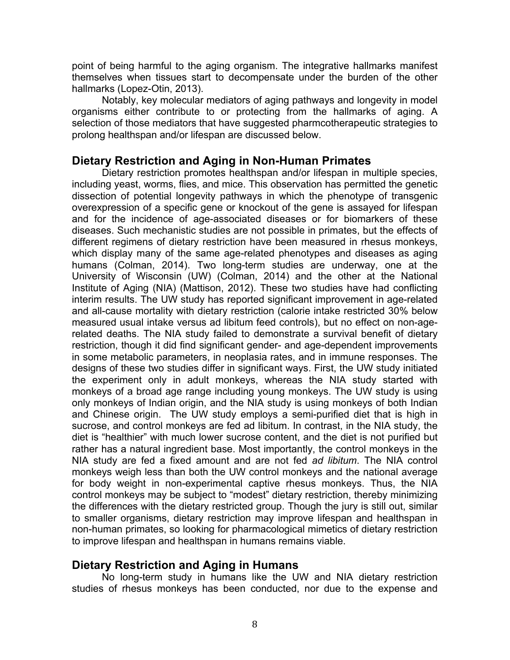point of being harmful to the aging organism. The integrative hallmarks manifest themselves when tissues start to decompensate under the burden of the other hallmarks (Lopez-Otin, 2013).

Notably, key molecular mediators of aging pathways and longevity in model organisms either contribute to or protecting from the hallmarks of aging. A selection of those mediators that have suggested pharmcotherapeutic strategies to prolong healthspan and/or lifespan are discussed below.

# **Dietary Restriction and Aging in Non-Human Primates**

Dietary restriction promotes healthspan and/or lifespan in multiple species, including yeast, worms, flies, and mice. This observation has permitted the genetic dissection of potential longevity pathways in which the phenotype of transgenic overexpression of a specific gene or knockout of the gene is assayed for lifespan and for the incidence of age-associated diseases or for biomarkers of these diseases. Such mechanistic studies are not possible in primates, but the effects of different regimens of dietary restriction have been measured in rhesus monkeys, which display many of the same age-related phenotypes and diseases as aging humans (Colman, 2014). Two long-term studies are underway, one at the University of Wisconsin (UW) (Colman, 2014) and the other at the National Institute of Aging (NIA) (Mattison, 2012). These two studies have had conflicting interim results. The UW study has reported significant improvement in age-related and all-cause mortality with dietary restriction (calorie intake restricted 30% below measured usual intake versus ad libitum feed controls), but no effect on non-agerelated deaths. The NIA study failed to demonstrate a survival benefit of dietary restriction, though it did find significant gender- and age-dependent improvements in some metabolic parameters, in neoplasia rates, and in immune responses. The designs of these two studies differ in significant ways. First, the UW study initiated the experiment only in adult monkeys, whereas the NIA study started with monkeys of a broad age range including young monkeys. The UW study is using only monkeys of Indian origin, and the NIA study is using monkeys of both Indian and Chinese origin. The UW study employs a semi-purified diet that is high in sucrose, and control monkeys are fed ad libitum. In contrast, in the NIA study, the diet is "healthier" with much lower sucrose content, and the diet is not purified but rather has a natural ingredient base. Most importantly, the control monkeys in the NIA study are fed a fixed amount and are not fed *ad libitum*. The NIA control monkeys weigh less than both the UW control monkeys and the national average for body weight in non-experimental captive rhesus monkeys. Thus, the NIA control monkeys may be subject to "modest" dietary restriction, thereby minimizing the differences with the dietary restricted group. Though the jury is still out, similar to smaller organisms, dietary restriction may improve lifespan and healthspan in non-human primates, so looking for pharmacological mimetics of dietary restriction to improve lifespan and healthspan in humans remains viable.

# **Dietary Restriction and Aging in Humans**

No long-term study in humans like the UW and NIA dietary restriction studies of rhesus monkeys has been conducted, nor due to the expense and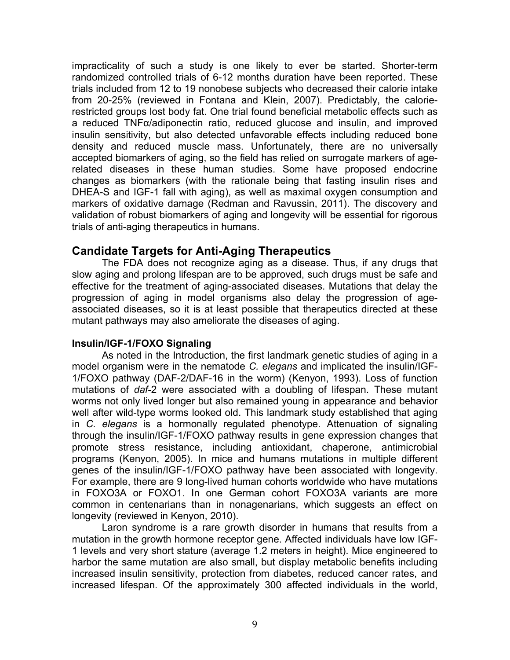impracticality of such a study is one likely to ever be started. Shorter-term randomized controlled trials of 6-12 months duration have been reported. These trials included from 12 to 19 nonobese subjects who decreased their calorie intake from 20-25% (reviewed in Fontana and Klein, 2007). Predictably, the calorierestricted groups lost body fat. One trial found beneficial metabolic effects such as a reduced TNFα/adiponectin ratio, reduced glucose and insulin, and improved insulin sensitivity, but also detected unfavorable effects including reduced bone density and reduced muscle mass. Unfortunately, there are no universally accepted biomarkers of aging, so the field has relied on surrogate markers of agerelated diseases in these human studies. Some have proposed endocrine changes as biomarkers (with the rationale being that fasting insulin rises and DHEA-S and IGF-1 fall with aging), as well as maximal oxygen consumption and markers of oxidative damage (Redman and Ravussin, 2011). The discovery and validation of robust biomarkers of aging and longevity will be essential for rigorous trials of anti-aging therapeutics in humans.

## **Candidate Targets for Anti-Aging Therapeutics**

The FDA does not recognize aging as a disease. Thus, if any drugs that slow aging and prolong lifespan are to be approved, such drugs must be safe and effective for the treatment of aging-associated diseases. Mutations that delay the progression of aging in model organisms also delay the progression of ageassociated diseases, so it is at least possible that therapeutics directed at these mutant pathways may also ameliorate the diseases of aging.

#### **Insulin/IGF-1/FOXO Signaling**

As noted in the Introduction, the first landmark genetic studies of aging in a model organism were in the nematode *C. elegans* and implicated the insulin/IGF-1/FOXO pathway (DAF-2/DAF-16 in the worm) (Kenyon, 1993). Loss of function mutations of *daf-*2 were associated with a doubling of lifespan. These mutant worms not only lived longer but also remained young in appearance and behavior well after wild-type worms looked old. This landmark study established that aging in *C. elegans* is a hormonally regulated phenotype. Attenuation of signaling through the insulin/IGF-1/FOXO pathway results in gene expression changes that promote stress resistance, including antioxidant, chaperone, antimicrobial programs (Kenyon, 2005). In mice and humans mutations in multiple different genes of the insulin/IGF-1/FOXO pathway have been associated with longevity. For example, there are 9 long-lived human cohorts worldwide who have mutations in FOXO3A or FOXO1. In one German cohort FOXO3A variants are more common in centenarians than in nonagenarians, which suggests an effect on longevity (reviewed in Kenyon, 2010).

Laron syndrome is a rare growth disorder in humans that results from a mutation in the growth hormone receptor gene. Affected individuals have low IGF-1 levels and very short stature (average 1.2 meters in height). Mice engineered to harbor the same mutation are also small, but display metabolic benefits including increased insulin sensitivity, protection from diabetes, reduced cancer rates, and increased lifespan. Of the approximately 300 affected individuals in the world,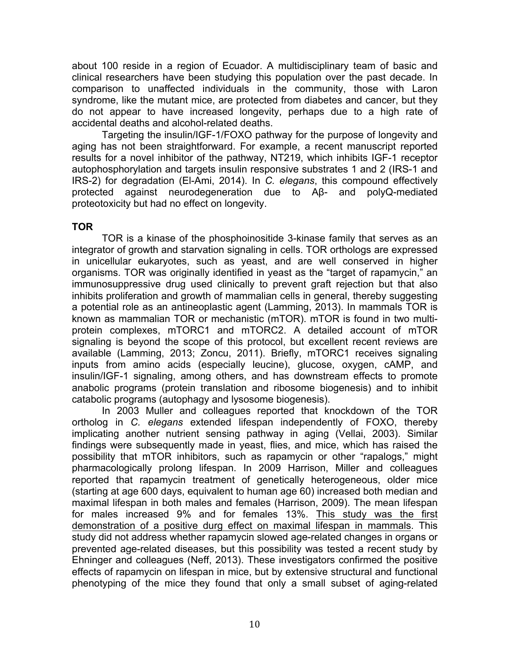about 100 reside in a region of Ecuador. A multidisciplinary team of basic and clinical researchers have been studying this population over the past decade. In comparison to unaffected individuals in the community, those with Laron syndrome, like the mutant mice, are protected from diabetes and cancer, but they do not appear to have increased longevity, perhaps due to a high rate of accidental deaths and alcohol-related deaths.

Targeting the insulin/IGF-1/FOXO pathway for the purpose of longevity and aging has not been straightforward. For example, a recent manuscript reported results for a novel inhibitor of the pathway, NT219, which inhibits IGF-1 receptor autophosphorylation and targets insulin responsive substrates 1 and 2 (IRS-1 and IRS-2) for degradation (El-Ami, 2014). In *C. elegans*, this compound effectively protected against neurodegeneration due to Aβ- and polyQ-mediated proteotoxicity but had no effect on longevity.

### **TOR**

TOR is a kinase of the phosphoinositide 3-kinase family that serves as an integrator of growth and starvation signaling in cells. TOR orthologs are expressed in unicellular eukaryotes, such as yeast, and are well conserved in higher organisms. TOR was originally identified in yeast as the "target of rapamycin," an immunosuppressive drug used clinically to prevent graft rejection but that also inhibits proliferation and growth of mammalian cells in general, thereby suggesting a potential role as an antineoplastic agent (Lamming, 2013). In mammals TOR is known as mammalian TOR or mechanistic (mTOR). mTOR is found in two multiprotein complexes, mTORC1 and mTORC2. A detailed account of mTOR signaling is beyond the scope of this protocol, but excellent recent reviews are available (Lamming, 2013; Zoncu, 2011). Briefly, mTORC1 receives signaling inputs from amino acids (especially leucine), glucose, oxygen, cAMP, and insulin/IGF-1 signaling, among others, and has downstream effects to promote anabolic programs (protein translation and ribosome biogenesis) and to inhibit catabolic programs (autophagy and lysosome biogenesis).

In 2003 Muller and colleagues reported that knockdown of the TOR ortholog in *C. elegans* extended lifespan independently of FOXO, thereby implicating another nutrient sensing pathway in aging (Vellai, 2003). Similar findings were subsequently made in yeast, flies, and mice, which has raised the possibility that mTOR inhibitors, such as rapamycin or other "rapalogs," might pharmacologically prolong lifespan. In 2009 Harrison, Miller and colleagues reported that rapamycin treatment of genetically heterogeneous, older mice (starting at age 600 days, equivalent to human age 60) increased both median and maximal lifespan in both males and females (Harrison, 2009). The mean lifespan for males increased 9% and for females 13%. This study was the first demonstration of a positive durg effect on maximal lifespan in mammals. This study did not address whether rapamycin slowed age-related changes in organs or prevented age-related diseases, but this possibility was tested a recent study by Ehninger and colleagues (Neff, 2013). These investigators confirmed the positive effects of rapamycin on lifespan in mice, but by extensive structural and functional phenotyping of the mice they found that only a small subset of aging-related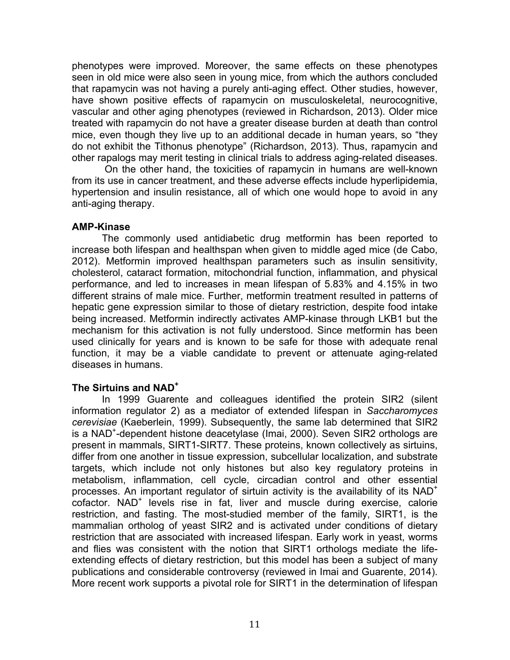phenotypes were improved. Moreover, the same effects on these phenotypes seen in old mice were also seen in young mice, from which the authors concluded that rapamycin was not having a purely anti-aging effect. Other studies, however, have shown positive effects of rapamycin on musculoskeletal, neurocognitive, vascular and other aging phenotypes (reviewed in Richardson, 2013). Older mice treated with rapamycin do not have a greater disease burden at death than control mice, even though they live up to an additional decade in human years, so "they do not exhibit the Tithonus phenotype" (Richardson, 2013). Thus, rapamycin and other rapalogs may merit testing in clinical trials to address aging-related diseases.

On the other hand, the toxicities of rapamycin in humans are well-known from its use in cancer treatment, and these adverse effects include hyperlipidemia, hypertension and insulin resistance, all of which one would hope to avoid in any anti-aging therapy.

#### **AMP-Kinase**

The commonly used antidiabetic drug metformin has been reported to increase both lifespan and healthspan when given to middle aged mice (de Cabo, 2012). Metformin improved healthspan parameters such as insulin sensitivity, cholesterol, cataract formation, mitochondrial function, inflammation, and physical performance, and led to increases in mean lifespan of 5.83% and 4.15% in two different strains of male mice. Further, metformin treatment resulted in patterns of hepatic gene expression similar to those of dietary restriction, despite food intake being increased. Metformin indirectly activates AMP-kinase through LKB1 but the mechanism for this activation is not fully understood. Since metformin has been used clinically for years and is known to be safe for those with adequate renal function, it may be a viable candidate to prevent or attenuate aging-related diseases in humans.

#### **The Sirtuins and NAD+**

In 1999 Guarente and colleagues identified the protein SIR2 (silent information regulator 2) as a mediator of extended lifespan in *Saccharomyces cerevisiae* (Kaeberlein, 1999). Subsequently, the same lab determined that SIR2 is a NAD<sup>+</sup> -dependent histone deacetylase (Imai, 2000). Seven SIR2 orthologs are present in mammals, SIRT1-SIRT7. These proteins, known collectively as sirtuins, differ from one another in tissue expression, subcellular localization, and substrate targets, which include not only histones but also key regulatory proteins in metabolism, inflammation, cell cycle, circadian control and other essential processes. An important regulator of sirtuin activity is the availability of its NAD<sup>+</sup> cofactor. NAD<sup>+</sup> levels rise in fat, liver and muscle during exercise, calorie restriction, and fasting. The most-studied member of the family, SIRT1, is the mammalian ortholog of yeast SIR2 and is activated under conditions of dietary restriction that are associated with increased lifespan. Early work in yeast, worms and flies was consistent with the notion that SIRT1 orthologs mediate the lifeextending effects of dietary restriction, but this model has been a subject of many publications and considerable controversy (reviewed in Imai and Guarente, 2014). More recent work supports a pivotal role for SIRT1 in the determination of lifespan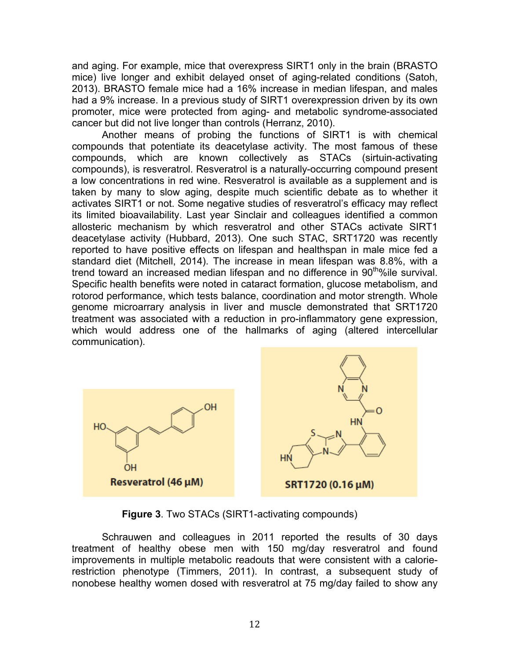and aging. For example, mice that overexpress SIRT1 only in the brain (BRASTO mice) live longer and exhibit delayed onset of aging-related conditions (Satoh, 2013). BRASTO female mice had a 16% increase in median lifespan, and males had a 9% increase. In a previous study of SIRT1 overexpression driven by its own promoter, mice were protected from aging- and metabolic syndrome-associated cancer but did not live longer than controls (Herranz, 2010).

Another means of probing the functions of SIRT1 is with chemical compounds that potentiate its deacetylase activity. The most famous of these compounds, which are known collectively as STACs (sirtuin-activating compounds), is resveratrol. Resveratrol is a naturally-occurring compound present a low concentrations in red wine. Resveratrol is available as a supplement and is taken by many to slow aging, despite much scientific debate as to whether it activates SIRT1 or not. Some negative studies of resveratrol's efficacy may reflect its limited bioavailability. Last year Sinclair and colleagues identified a common allosteric mechanism by which resveratrol and other STACs activate SIRT1 deacetylase activity (Hubbard, 2013). One such STAC, SRT1720 was recently reported to have positive effects on lifespan and healthspan in male mice fed a standard diet (Mitchell, 2014). The increase in mean lifespan was 8.8%, with a trend toward an increased median lifespan and no difference in 90<sup>th</sup>%ile survival. Specific health benefits were noted in cataract formation, glucose metabolism, and rotorod performance, which tests balance, coordination and motor strength. Whole genome microarrary analysis in liver and muscle demonstrated that SRT1720 treatment was associated with a reduction in pro-inflammatory gene expression, which would address one of the hallmarks of aging (altered intercellular communication).



**Figure 3.** Two STACs (SIRT1-activating compounds)

Schrauwen and colleagues in 2011 reported the results of 30 days treatment of healthy obese men with 150 mg/day resveratrol and found improvements in multiple metabolic readouts that were consistent with a calorierestriction phenotype (Timmers, 2011). In contrast, a subsequent study of nonobese healthy women dosed with resveratrol at 75 mg/day failed to show any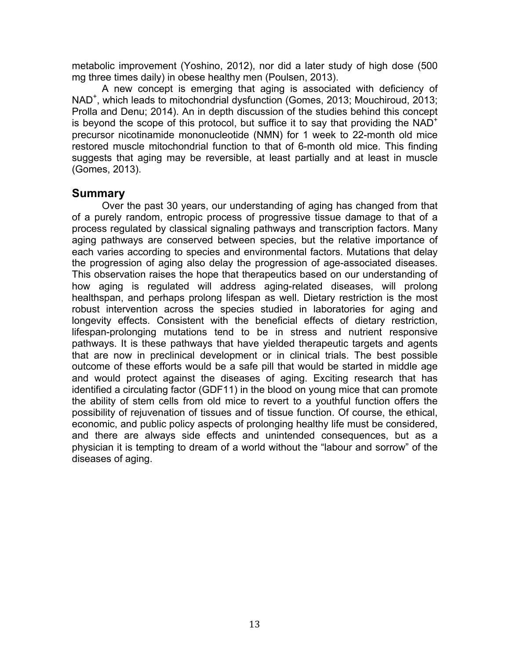metabolic improvement (Yoshino, 2012), nor did a later study of high dose (500 mg three times daily) in obese healthy men (Poulsen, 2013).

A new concept is emerging that aging is associated with deficiency of NAD<sup>+</sup> , which leads to mitochondrial dysfunction (Gomes, 2013; Mouchiroud, 2013; Prolla and Denu; 2014). An in depth discussion of the studies behind this concept is beyond the scope of this protocol, but suffice it to say that providing the  $NAD^+$ precursor nicotinamide mononucleotide (NMN) for 1 week to 22-month old mice restored muscle mitochondrial function to that of 6-month old mice. This finding suggests that aging may be reversible, at least partially and at least in muscle (Gomes, 2013).

## **Summary**

Over the past 30 years, our understanding of aging has changed from that of a purely random, entropic process of progressive tissue damage to that of a process regulated by classical signaling pathways and transcription factors. Many aging pathways are conserved between species, but the relative importance of each varies according to species and environmental factors. Mutations that delay the progression of aging also delay the progression of age-associated diseases. This observation raises the hope that therapeutics based on our understanding of how aging is regulated will address aging-related diseases, will prolong healthspan, and perhaps prolong lifespan as well. Dietary restriction is the most robust intervention across the species studied in laboratories for aging and longevity effects. Consistent with the beneficial effects of dietary restriction, lifespan-prolonging mutations tend to be in stress and nutrient responsive pathways. It is these pathways that have yielded therapeutic targets and agents that are now in preclinical development or in clinical trials. The best possible outcome of these efforts would be a safe pill that would be started in middle age and would protect against the diseases of aging. Exciting research that has identified a circulating factor (GDF11) in the blood on young mice that can promote the ability of stem cells from old mice to revert to a youthful function offers the possibility of rejuvenation of tissues and of tissue function. Of course, the ethical, economic, and public policy aspects of prolonging healthy life must be considered, and there are always side effects and unintended consequences, but as a physician it is tempting to dream of a world without the "labour and sorrow" of the diseases of aging.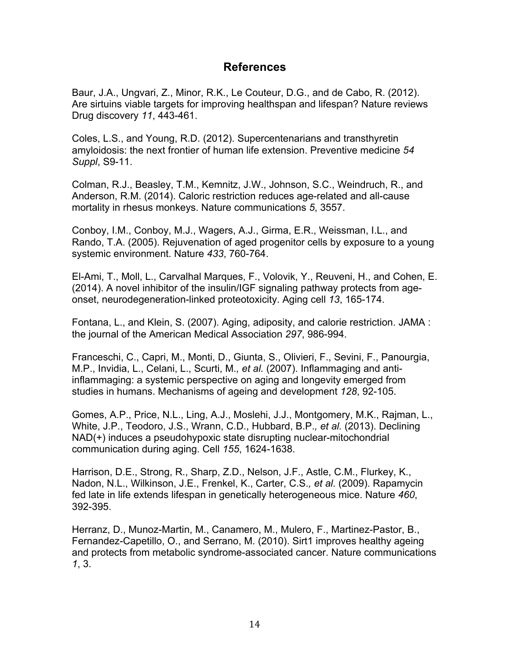# **References**

Baur, J.A., Ungvari, Z., Minor, R.K., Le Couteur, D.G., and de Cabo, R. (2012). Are sirtuins viable targets for improving healthspan and lifespan? Nature reviews Drug discovery *11*, 443-461.

Coles, L.S., and Young, R.D. (2012). Supercentenarians and transthyretin amyloidosis: the next frontier of human life extension. Preventive medicine *54 Suppl*, S9-11.

Colman, R.J., Beasley, T.M., Kemnitz, J.W., Johnson, S.C., Weindruch, R., and Anderson, R.M. (2014). Caloric restriction reduces age-related and all-cause mortality in rhesus monkeys. Nature communications *5*, 3557.

Conboy, I.M., Conboy, M.J., Wagers, A.J., Girma, E.R., Weissman, I.L., and Rando, T.A. (2005). Rejuvenation of aged progenitor cells by exposure to a young systemic environment. Nature *433*, 760-764.

El-Ami, T., Moll, L., Carvalhal Marques, F., Volovik, Y., Reuveni, H., and Cohen, E. (2014). A novel inhibitor of the insulin/IGF signaling pathway protects from ageonset, neurodegeneration-linked proteotoxicity. Aging cell *13*, 165-174.

Fontana, L., and Klein, S. (2007). Aging, adiposity, and calorie restriction. JAMA : the journal of the American Medical Association *297*, 986-994.

Franceschi, C., Capri, M., Monti, D., Giunta, S., Olivieri, F., Sevini, F., Panourgia, M.P., Invidia, L., Celani, L., Scurti, M.*, et al.* (2007). Inflammaging and antiinflammaging: a systemic perspective on aging and longevity emerged from studies in humans. Mechanisms of ageing and development *128*, 92-105.

Gomes, A.P., Price, N.L., Ling, A.J., Moslehi, J.J., Montgomery, M.K., Rajman, L., White, J.P., Teodoro, J.S., Wrann, C.D., Hubbard, B.P.*, et al.* (2013). Declining NAD(+) induces a pseudohypoxic state disrupting nuclear-mitochondrial communication during aging. Cell *155*, 1624-1638.

Harrison, D.E., Strong, R., Sharp, Z.D., Nelson, J.F., Astle, C.M., Flurkey, K., Nadon, N.L., Wilkinson, J.E., Frenkel, K., Carter, C.S.*, et al.* (2009). Rapamycin fed late in life extends lifespan in genetically heterogeneous mice. Nature *460*, 392-395.

Herranz, D., Munoz-Martin, M., Canamero, M., Mulero, F., Martinez-Pastor, B., Fernandez-Capetillo, O., and Serrano, M. (2010). Sirt1 improves healthy ageing and protects from metabolic syndrome-associated cancer. Nature communications *1*, 3.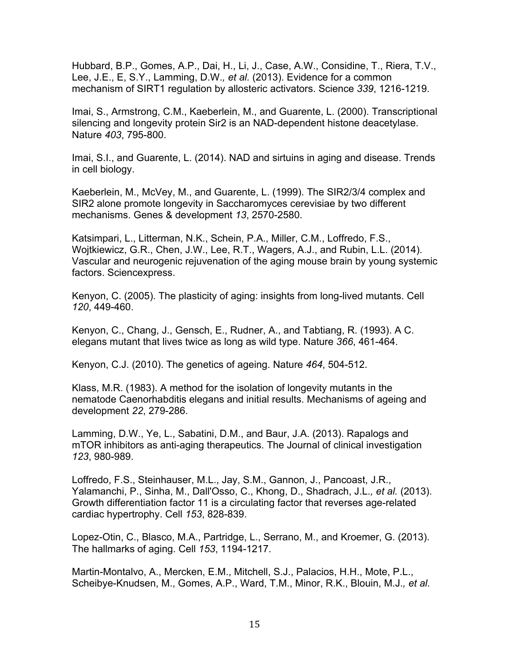Hubbard, B.P., Gomes, A.P., Dai, H., Li, J., Case, A.W., Considine, T., Riera, T.V., Lee, J.E., E, S.Y., Lamming, D.W.*, et al.* (2013). Evidence for a common mechanism of SIRT1 regulation by allosteric activators. Science *339*, 1216-1219.

Imai, S., Armstrong, C.M., Kaeberlein, M., and Guarente, L. (2000). Transcriptional silencing and longevity protein Sir2 is an NAD-dependent histone deacetylase. Nature *403*, 795-800.

Imai, S.I., and Guarente, L. (2014). NAD and sirtuins in aging and disease. Trends in cell biology.

Kaeberlein, M., McVey, M., and Guarente, L. (1999). The SIR2/3/4 complex and SIR2 alone promote longevity in Saccharomyces cerevisiae by two different mechanisms. Genes & development *13*, 2570-2580.

Katsimpari, L., Litterman, N.K., Schein, P.A., Miller, C.M., Loffredo, F.S., Wojtkiewicz, G.R., Chen, J.W., Lee, R.T., Wagers, A.J., and Rubin, L.L. (2014). Vascular and neurogenic rejuvenation of the aging mouse brain by young systemic factors. Sciencexpress.

Kenyon, C. (2005). The plasticity of aging: insights from long-lived mutants. Cell *120*, 449-460.

Kenyon, C., Chang, J., Gensch, E., Rudner, A., and Tabtiang, R. (1993). A C. elegans mutant that lives twice as long as wild type. Nature *366*, 461-464.

Kenyon, C.J. (2010). The genetics of ageing. Nature *464*, 504-512.

Klass, M.R. (1983). A method for the isolation of longevity mutants in the nematode Caenorhabditis elegans and initial results. Mechanisms of ageing and development *22*, 279-286.

Lamming, D.W., Ye, L., Sabatini, D.M., and Baur, J.A. (2013). Rapalogs and mTOR inhibitors as anti-aging therapeutics. The Journal of clinical investigation *123*, 980-989.

Loffredo, F.S., Steinhauser, M.L., Jay, S.M., Gannon, J., Pancoast, J.R., Yalamanchi, P., Sinha, M., Dall'Osso, C., Khong, D., Shadrach, J.L.*, et al.* (2013). Growth differentiation factor 11 is a circulating factor that reverses age-related cardiac hypertrophy. Cell *153*, 828-839.

Lopez-Otin, C., Blasco, M.A., Partridge, L., Serrano, M., and Kroemer, G. (2013). The hallmarks of aging. Cell *153*, 1194-1217.

Martin-Montalvo, A., Mercken, E.M., Mitchell, S.J., Palacios, H.H., Mote, P.L., Scheibye-Knudsen, M., Gomes, A.P., Ward, T.M., Minor, R.K., Blouin, M.J.*, et al.*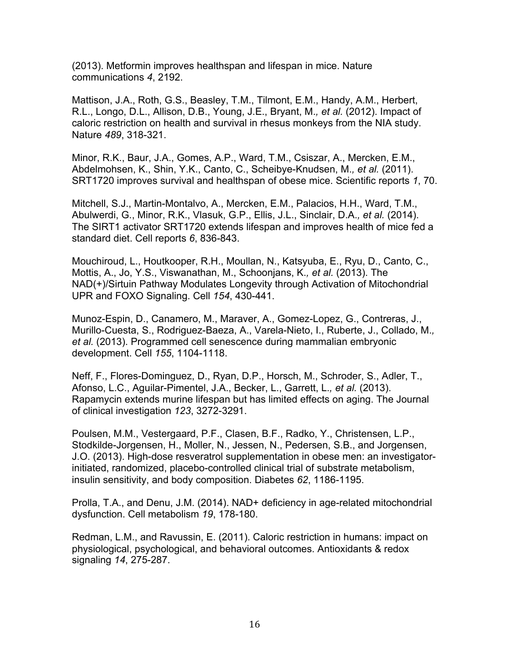(2013). Metformin improves healthspan and lifespan in mice. Nature communications *4*, 2192.

Mattison, J.A., Roth, G.S., Beasley, T.M., Tilmont, E.M., Handy, A.M., Herbert, R.L., Longo, D.L., Allison, D.B., Young, J.E., Bryant, M.*, et al.* (2012). Impact of caloric restriction on health and survival in rhesus monkeys from the NIA study. Nature *489*, 318-321.

Minor, R.K., Baur, J.A., Gomes, A.P., Ward, T.M., Csiszar, A., Mercken, E.M., Abdelmohsen, K., Shin, Y.K., Canto, C., Scheibye-Knudsen, M.*, et al.* (2011). SRT1720 improves survival and healthspan of obese mice. Scientific reports *1*, 70.

Mitchell, S.J., Martin-Montalvo, A., Mercken, E.M., Palacios, H.H., Ward, T.M., Abulwerdi, G., Minor, R.K., Vlasuk, G.P., Ellis, J.L., Sinclair, D.A.*, et al.* (2014). The SIRT1 activator SRT1720 extends lifespan and improves health of mice fed a standard diet. Cell reports *6*, 836-843.

Mouchiroud, L., Houtkooper, R.H., Moullan, N., Katsyuba, E., Ryu, D., Canto, C., Mottis, A., Jo, Y.S., Viswanathan, M., Schoonjans, K.*, et al.* (2013). The NAD(+)/Sirtuin Pathway Modulates Longevity through Activation of Mitochondrial UPR and FOXO Signaling. Cell *154*, 430-441.

Munoz-Espin, D., Canamero, M., Maraver, A., Gomez-Lopez, G., Contreras, J., Murillo-Cuesta, S., Rodriguez-Baeza, A., Varela-Nieto, I., Ruberte, J., Collado, M.*, et al.* (2013). Programmed cell senescence during mammalian embryonic development. Cell *155*, 1104-1118.

Neff, F., Flores-Dominguez, D., Ryan, D.P., Horsch, M., Schroder, S., Adler, T., Afonso, L.C., Aguilar-Pimentel, J.A., Becker, L., Garrett, L.*, et al.* (2013). Rapamycin extends murine lifespan but has limited effects on aging. The Journal of clinical investigation *123*, 3272-3291.

Poulsen, M.M., Vestergaard, P.F., Clasen, B.F., Radko, Y., Christensen, L.P., Stodkilde-Jorgensen, H., Moller, N., Jessen, N., Pedersen, S.B., and Jorgensen, J.O. (2013). High-dose resveratrol supplementation in obese men: an investigatorinitiated, randomized, placebo-controlled clinical trial of substrate metabolism, insulin sensitivity, and body composition. Diabetes *62*, 1186-1195.

Prolla, T.A., and Denu, J.M. (2014). NAD+ deficiency in age-related mitochondrial dysfunction. Cell metabolism *19*, 178-180.

Redman, L.M., and Ravussin, E. (2011). Caloric restriction in humans: impact on physiological, psychological, and behavioral outcomes. Antioxidants & redox signaling *14*, 275-287.